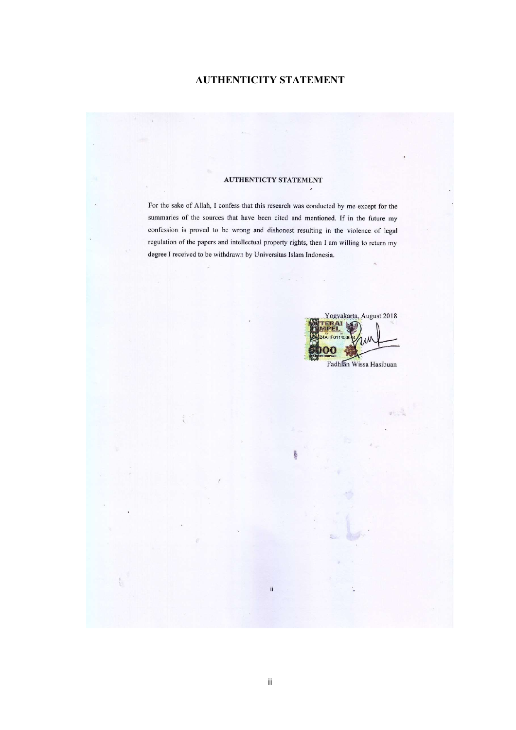# AUTHENTICITY STATEMENT

For the sake of Allah, I confess that this research was conducted by me except for the

summaries of the sources that have been cited and mentioned. If in the future my

confession is proved to be wrong and dishonest resulting in the violence of legal

degree I received to be withdrawn by Universitas Islam Indonesia.

For the sake of Allah, I confess that this research was conducted by me except for the summaries of the sources that have been cited and mentioned. If in the future my confession is proved to be wrong and dishonest resulting in the violence of legal regulation of the papers and intellectual property rights, then I am willing to return my degree I received to be withdrawn by Universitas Islam Indonesia.

 $\omega_{\rm c}$ 

Yogyakarta, August 2018 **ERAI AHF01145** Fadhlan Wissa Hasibuan m Fadhlan Wissa Hasibuan

 $\mathbf{ii}$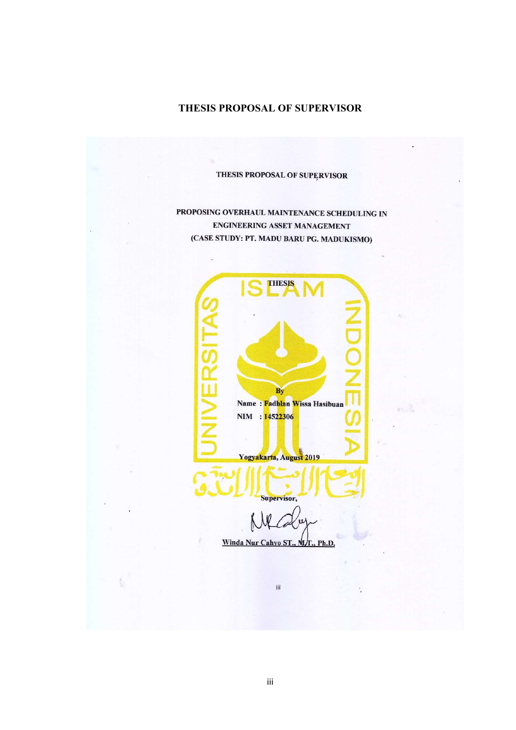# THESIS PROPOSAL OF SUPERVISOR

# THESIS PROPOSAL OF SUPERVISOR

PROPOSING OVERHAUL MAINTENANCE SCHEDULING IN **ENGINEERING ASSET MANAGEMENT** (CASE STUDY: PT. MADU BARU PG. MADUKISMO)

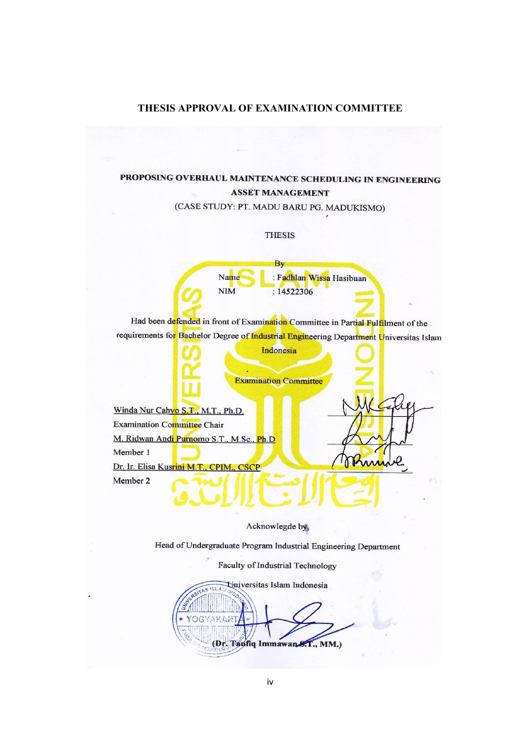# THESIS APPROVAL OF EXAMINATION COMMITTEE

# PROPOSING OVERHAUL MAINTENANCE SCHEDULING IN ENGINEERING **ASSET MANAGEMENT**

(CASE STUDY: PT. MADU BARU PG. MADUKISMO)

### **THESIS**

By : Fadhlan Wissa Hasibuan Name **NIM**  $: 14522306$ 

Had been defended in front of Examination Committee in Partial Fulfilment of the requirements for Bachelor Degree of Industrial Engineering Department Universitas Islam

Indonesia

**Examination Committee** 

Winda Nur Cahyo S.T., M.T., Ph.D. **Examination Committee Chair** M. Ridwan Andi Purnomo S.T., M.Sc., Ph.D Member 1 Dr. Ir. Elisa Kusrini M.T., CPIM 'SCP Member 2

#### Acknowlegde by,

Head of Undergraduate Program Industrial Engineering Department

Faculty of Industrial Technology

Universitas Islam Indonesia (Dr. Taufiq Immawan S.T., MM.)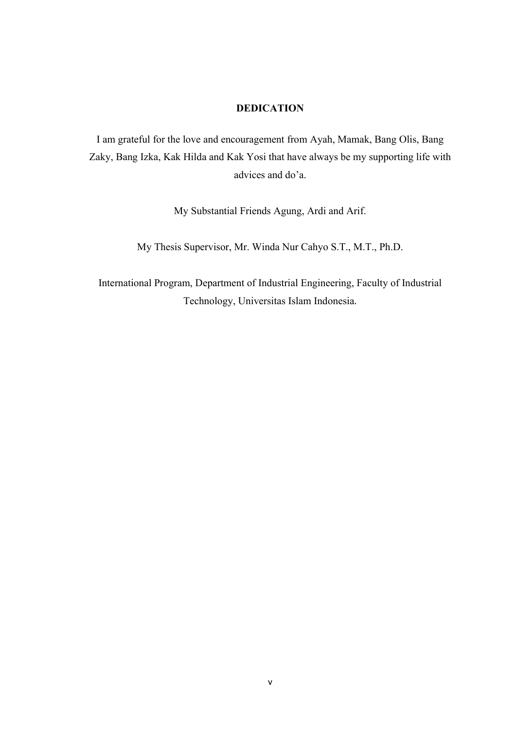# DEDICATION

I am grateful for the love and encouragement from Ayah, Mamak, Bang Olis, Bang Zaky, Bang Izka, Kak Hilda and Kak Yosi that have always be my supporting life with advices and do'a.

My Substantial Friends Agung, Ardi and Arif.

My Thesis Supervisor, Mr. Winda Nur Cahyo S.T., M.T., Ph.D.

International Program, Department of Industrial Engineering, Faculty of Industrial Technology, Universitas Islam Indonesia.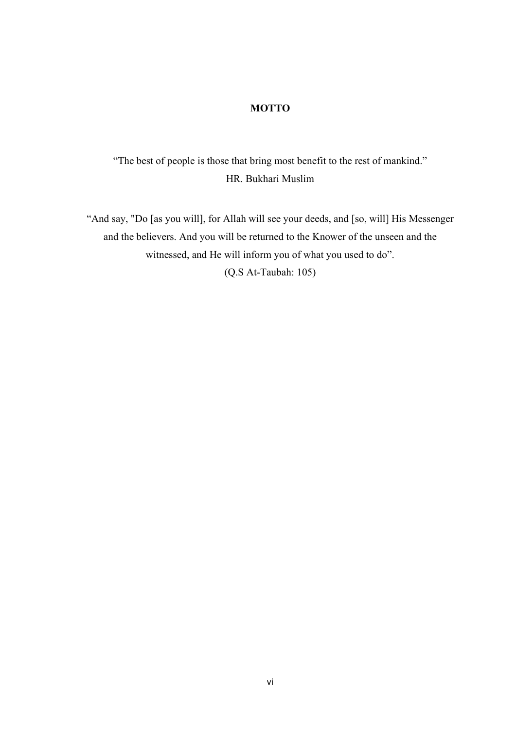# MOTTO

"The best of people is those that bring most benefit to the rest of mankind." HR. Bukhari Muslim

"And say, "Do [as you will], for Allah will see your deeds, and [so, will] His Messenger and the believers. And you will be returned to the Knower of the unseen and the witnessed, and He will inform you of what you used to do". (Q.S At-Taubah: 105)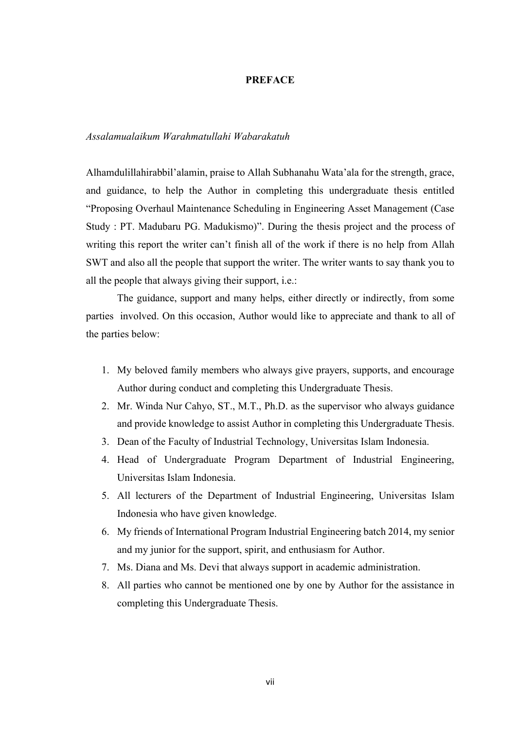## **PREFACE**

## Assalamualaikum Warahmatullahi Wabarakatuh

Alhamdulillahirabbil'alamin, praise to Allah Subhanahu Wata'ala for the strength, grace, and guidance, to help the Author in completing this undergraduate thesis entitled "Proposing Overhaul Maintenance Scheduling in Engineering Asset Management (Case Study : PT. Madubaru PG. Madukismo)". During the thesis project and the process of writing this report the writer can't finish all of the work if there is no help from Allah SWT and also all the people that support the writer. The writer wants to say thank you to all the people that always giving their support, i.e.:

 The guidance, support and many helps, either directly or indirectly, from some parties involved. On this occasion, Author would like to appreciate and thank to all of the parties below:

- 1. My beloved family members who always give prayers, supports, and encourage Author during conduct and completing this Undergraduate Thesis.
- 2. Mr. Winda Nur Cahyo, ST., M.T., Ph.D. as the supervisor who always guidance and provide knowledge to assist Author in completing this Undergraduate Thesis.
- 3. Dean of the Faculty of Industrial Technology, Universitas Islam Indonesia.
- 4. Head of Undergraduate Program Department of Industrial Engineering, Universitas Islam Indonesia.
- 5. All lecturers of the Department of Industrial Engineering, Universitas Islam Indonesia who have given knowledge.
- 6. My friends of International Program Industrial Engineering batch 2014, my senior and my junior for the support, spirit, and enthusiasm for Author.
- 7. Ms. Diana and Ms. Devi that always support in academic administration.
- 8. All parties who cannot be mentioned one by one by Author for the assistance in completing this Undergraduate Thesis.